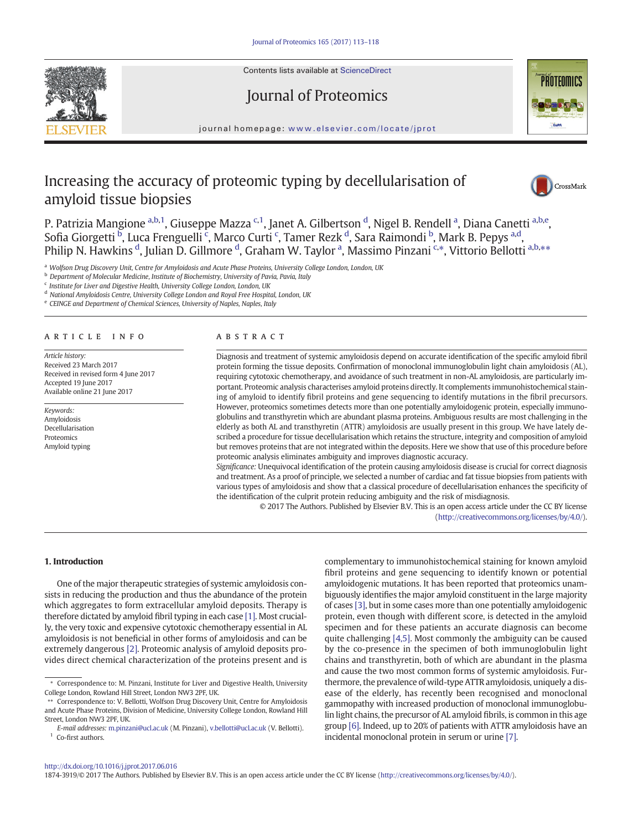Contents lists available at ScienceDirect

# Journal of Proteomics



journal homepage: <www.elsevier.com/locate/jprot>

# Increasing the accuracy of proteomic typing by decellularisation of amyloid tissue biopsies



P. Patrizia Mangione <sup>a,b,1</sup>, Giuseppe Mazza <sup>c,1</sup>, Janet A. Gilbertson <sup>d</sup>, Nigel B. Rendell <sup>a</sup>, Diana Canetti <sup>a,b,e</sup>, Sofia Giorgetti <sup>b</sup>, Luca Frenguelli <sup>c</sup>, Marco Curti <sup>c</sup>, Tamer Rezk <sup>d</sup>, Sara Raimondi <sup>b</sup>, Mark B. Pepys <sup>a,d</sup>, Philip N. Hawkins <sup>d</sup>, Julian D. Gillmore <sup>d</sup>, Graham W. Taylor <sup>a</sup>, Massimo Pinzani <sup>c,\*</sup>, Vittorio Bellotti <sup>a,b,\*\*</sup>

a Wolfson Drug Discovery Unit, Centre for Amyloidosis and Acute Phase Proteins, University College London, London, UK

b Department of Molecular Medicine, Institute of Biochemistry, University of Pavia, Pavia, Italy

 $c$  Institute for Liver and Digestive Health, University College London, London, UK

<sup>d</sup> National Amyloidosis Centre, University College London and Royal Free Hospital, London, UK

e CEINGE and Department of Chemical Sciences, University of Naples, Naples, Italy

#### article info abstract

Article history: Received 23 March 2017 Received in revised form 4 June 2017 Accepted 19 June 2017 Available online 21 June 2017

Keywords: Amyloidosis Decellularisation Proteomics Amyloid typing

Diagnosis and treatment of systemic amyloidosis depend on accurate identification of the specific amyloid fibril protein forming the tissue deposits. Confirmation of monoclonal immunoglobulin light chain amyloidosis (AL), requiring cytotoxic chemotherapy, and avoidance of such treatment in non-AL amyloidosis, are particularly important. Proteomic analysis characterises amyloid proteins directly. It complements immunohistochemical staining of amyloid to identify fibril proteins and gene sequencing to identify mutations in the fibril precursors. However, proteomics sometimes detects more than one potentially amyloidogenic protein, especially immunoglobulins and transthyretin which are abundant plasma proteins. Ambiguous results are most challenging in the elderly as both AL and transthyretin (ATTR) amyloidosis are usually present in this group. We have lately described a procedure for tissue decellularisation which retains the structure, integrity and composition of amyloid but removes proteins that are not integrated within the deposits. Here we show that use of this procedure before proteomic analysis eliminates ambiguity and improves diagnostic accuracy.

Significance: Unequivocal identification of the protein causing amyloidosis disease is crucial for correct diagnosis and treatment. As a proof of principle, we selected a number of cardiac and fat tissue biopsies from patients with various types of amyloidosis and show that a classical procedure of decellularisation enhances the specificity of the identification of the culprit protein reducing ambiguity and the risk of misdiagnosis.

© 2017 The Authors. Published by Elsevier B.V. This is an open access article under the CC BY license [\(http://creativecommons.org/licenses/by/4.0/\)](http://creativecommons.org/licenses/by/4.0/).

### 1. Introduction

One of the major therapeutic strategies of systemic amyloidosis consists in reducing the production and thus the abundance of the protein which aggregates to form extracellular amyloid deposits. Therapy is therefore dictated by amyloid fibril typing in each case [\[1\]](#page-5-0). Most crucially, the very toxic and expensive cytotoxic chemotherapy essential in AL amyloidosis is not beneficial in other forms of amyloidosis and can be extremely dangerous [\[2\]](#page-5-0). Proteomic analysis of amyloid deposits provides direct chemical characterization of the proteins present and is complementary to immunohistochemical staining for known amyloid fibril proteins and gene sequencing to identify known or potential amyloidogenic mutations. It has been reported that proteomics unambiguously identifies the major amyloid constituent in the large majority of cases [\[3\]](#page-5-0), but in some cases more than one potentially amyloidogenic protein, even though with different score, is detected in the amyloid specimen and for these patients an accurate diagnosis can become quite challenging [\[4,5\]](#page-5-0). Most commonly the ambiguity can be caused by the co-presence in the specimen of both immunoglobulin light chains and transthyretin, both of which are abundant in the plasma and cause the two most common forms of systemic amyloidosis. Furthermore, the prevalence of wild-type ATTR amyloidosis, uniquely a disease of the elderly, has recently been recognised and monoclonal gammopathy with increased production of monoclonal immunoglobulin light chains, the precursor of AL amyloid fibrils, is common in this age group [\[6\]](#page-5-0). Indeed, up to 20% of patients with ATTR amyloidosis have an incidental monoclonal protein in serum or urine [\[7\].](#page-5-0)

#### <http://dx.doi.org/10.1016/j.jprot.2017.06.016>

1874-3919/© 2017 The Authors. Published by Elsevier B.V. This is an open access article under the CC BY license (<http://creativecommons.org/licenses/by/4.0/>).

<sup>⁎</sup> Correspondence to: M. Pinzani, Institute for Liver and Digestive Health, University College London, Rowland Hill Street, London NW3 2PF, UK.

<sup>⁎⁎</sup> Correspondence to: V. Bellotti, Wolfson Drug Discovery Unit, Centre for Amyloidosis and Acute Phase Proteins, Division of Medicine, University College London, Rowland Hill Street, London NW3 2PF, UK.

E-mail addresses: m.pinzani@ucl.ac.uk (M. Pinzani), [v.bellotti@ucl.ac.uk](mailto:v.bellotti@ucl.ac.uk) (V. Bellotti). <sup>1</sup> Co-first authors.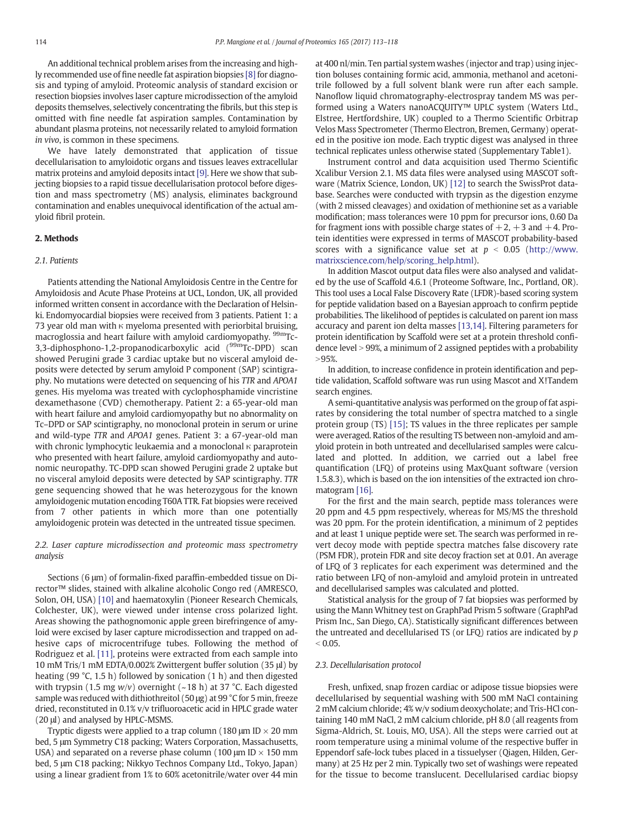An additional technical problem arises from the increasing and high-ly recommended use of fine needle fat aspiration biopsies [\[8\]](#page-5-0) for diagnosis and typing of amyloid. Proteomic analysis of standard excision or resection biopsies involves laser capture microdissection of the amyloid deposits themselves, selectively concentrating the fibrils, but this step is omitted with fine needle fat aspiration samples. Contamination by abundant plasma proteins, not necessarily related to amyloid formation in vivo, is common in these specimens.

We have lately demonstrated that application of tissue decellularisation to amyloidotic organs and tissues leaves extracellular matrix proteins and amyloid deposits intact [\[9\].](#page-5-0) Here we show that subjecting biopsies to a rapid tissue decellularisation protocol before digestion and mass spectrometry (MS) analysis, eliminates background contamination and enables unequivocal identification of the actual amyloid fibril protein.

### 2. Methods

#### 2.1. Patients

Patients attending the National Amyloidosis Centre in the Centre for Amyloidosis and Acute Phase Proteins at UCL, London, UK, all provided informed written consent in accordance with the Declaration of Helsinki. Endomyocardial biopsies were received from 3 patients. Patient 1: a 73 year old man with κ myeloma presented with periorbital bruising, macroglossia and heart failure with amyloid cardiomyopathy. <sup>99m</sup>Tc-3,3-diphosphono-1,2-propanodicarboxylic acid (99mTc-DPD) scan showed Perugini grade 3 cardiac uptake but no visceral amyloid deposits were detected by serum amyloid P component (SAP) scintigraphy. No mutations were detected on sequencing of his TTR and APOA1 genes. His myeloma was treated with cyclophosphamide vincristine dexamethasone (CVD) chemotherapy. Patient 2: a 65-year-old man with heart failure and amyloid cardiomyopathy but no abnormality on Tc–DPD or SAP scintigraphy, no monoclonal protein in serum or urine and wild-type TTR and APOA1 genes. Patient 3: a 67-year-old man with chronic lymphocytic leukaemia and a monoclonal κ paraprotein who presented with heart failure, amyloid cardiomyopathy and autonomic neuropathy. TC-DPD scan showed Perugini grade 2 uptake but no visceral amyloid deposits were detected by SAP scintigraphy. TTR gene sequencing showed that he was heterozygous for the known amyloidogenic mutation encoding T60A TTR. Fat biopsies were received from 7 other patients in which more than one potentially amyloidogenic protein was detected in the untreated tissue specimen.

### 2.2. Laser capture microdissection and proteomic mass spectrometry analysis

Sections (6 μm) of formalin-fixed paraffin-embedded tissue on Director™ slides, stained with alkaline alcoholic Congo red (AMRESCO, Solon, OH, USA) [\[10\]](#page-5-0) and haematoxylin (Pioneer Research Chemicals, Colchester, UK), were viewed under intense cross polarized light. Areas showing the pathognomonic apple green birefringence of amyloid were excised by laser capture microdissection and trapped on adhesive caps of microcentrifuge tubes. Following the method of Rodriguez et al. [\[11\],](#page-5-0) proteins were extracted from each sample into 10 mM Tris/1 mM EDTA/0.002% Zwittergent buffer solution (35 μl) by heating (99 °C, 1.5 h) followed by sonication (1 h) and then digested with trypsin (1.5 mg  $w/v$ ) overnight (~18 h) at 37 °C. Each digested sample was reduced with dithiothreitol (50 μg) at 99 °C for 5 min, freeze dried, reconstituted in 0.1% v/v trifluoroacetic acid in HPLC grade water (20 μl) and analysed by HPLC-MSMS.

Tryptic digests were applied to a trap column (180  $\mu$ m ID  $\times$  20 mm bed, 5 μm Symmetry C18 packing; Waters Corporation, Massachusetts, USA) and separated on a reverse phase column (100  $\mu$ m ID  $\times$  150 mm bed, 5 μm C18 packing; Nikkyo Technos Company Ltd., Tokyo, Japan) using a linear gradient from 1% to 60% acetonitrile/water over 44 min at 400 nl/min. Ten partial system washes (injector and trap) using injection boluses containing formic acid, ammonia, methanol and acetonitrile followed by a full solvent blank were run after each sample. Nanoflow liquid chromatography-electrospray tandem MS was performed using a Waters nanoACQUITY™ UPLC system (Waters Ltd., Elstree, Hertfordshire, UK) coupled to a Thermo Scientific Orbitrap Velos Mass Spectrometer (Thermo Electron, Bremen, Germany) operated in the positive ion mode. Each tryptic digest was analysed in three technical replicates unless otherwise stated (Supplementary Table1).

Instrument control and data acquisition used Thermo Scientific Xcalibur Version 2.1. MS data files were analysed using MASCOT software (Matrix Science, London, UK) [\[12\]](#page-5-0) to search the SwissProt database. Searches were conducted with trypsin as the digestion enzyme (with 2 missed cleavages) and oxidation of methionine set as a variable modification; mass tolerances were 10 ppm for precursor ions, 0.60 Da for fragment ions with possible charge states of  $+2$ ,  $+3$  and  $+4$ . Protein identities were expressed in terms of MASCOT probability-based scores with a significance value set at  $p < 0.05$  [\(http://www.](http://www.matrixscience.com/help/scoring_help.html) [matrixscience.com/help/scoring\\_help.html\)](http://www.matrixscience.com/help/scoring_help.html).

In addition Mascot output data files were also analysed and validated by the use of Scaffold 4.6.1 (Proteome Software, Inc., Portland, OR). This tool uses a Local False Discovery Rate (LFDR)-based scoring system for peptide validation based on a Bayesian approach to confirm peptide probabilities. The likelihood of peptides is calculated on parent ion mass accuracy and parent ion delta masses [\[13,14\].](#page-5-0) Filtering parameters for protein identification by Scaffold were set at a protein threshold confidence level > 99%, a minimum of 2 assigned peptides with a probability  $>95%$ 

In addition, to increase confidence in protein identification and peptide validation, Scaffold software was run using Mascot and X!Tandem search engines.

A semi-quantitative analysis was performed on the group of fat aspirates by considering the total number of spectra matched to a single protein group (TS) [\[15\];](#page-5-0) TS values in the three replicates per sample were averaged. Ratios of the resulting TS between non-amyloid and amyloid protein in both untreated and decellularised samples were calculated and plotted. In addition, we carried out a label free quantification (LFQ) of proteins using MaxQuant software (version 1.5.8.3), which is based on the ion intensities of the extracted ion chromatogram [\[16\]](#page-5-0).

For the first and the main search, peptide mass tolerances were 20 ppm and 4.5 ppm respectively, whereas for MS/MS the threshold was 20 ppm. For the protein identification, a minimum of 2 peptides and at least 1 unique peptide were set. The search was performed in revert decoy mode with peptide spectra matches false discovery rate (PSM FDR), protein FDR and site decoy fraction set at 0.01. An average of LFQ of 3 replicates for each experiment was determined and the ratio between LFQ of non-amyloid and amyloid protein in untreated and decellularised samples was calculated and plotted.

Statistical analysis for the group of 7 fat biopsies was performed by using the Mann Whitney test on GraphPad Prism 5 software (GraphPad Prism Inc., San Diego, CA). Statistically significant differences between the untreated and decellularised TS (or LFQ) ratios are indicated by p  $< 0.05.$ 

#### 2.3. Decellularisation protocol

Fresh, unfixed, snap frozen cardiac or adipose tissue biopsies were decellularised by sequential washing with 500 mM NaCl containing 2 mM calcium chloride; 4% w/v sodium deoxycholate; and Tris-HCl containing 140 mM NaCl, 2 mM calcium chloride, pH 8.0 (all reagents from Sigma-Aldrich, St. Louis, MO, USA). All the steps were carried out at room temperature using a minimal volume of the respective buffer in Eppendorf safe-lock tubes placed in a tissuelyser (Qiagen, Hilden, Germany) at 25 Hz per 2 min. Typically two set of washings were repeated for the tissue to become translucent. Decellularised cardiac biopsy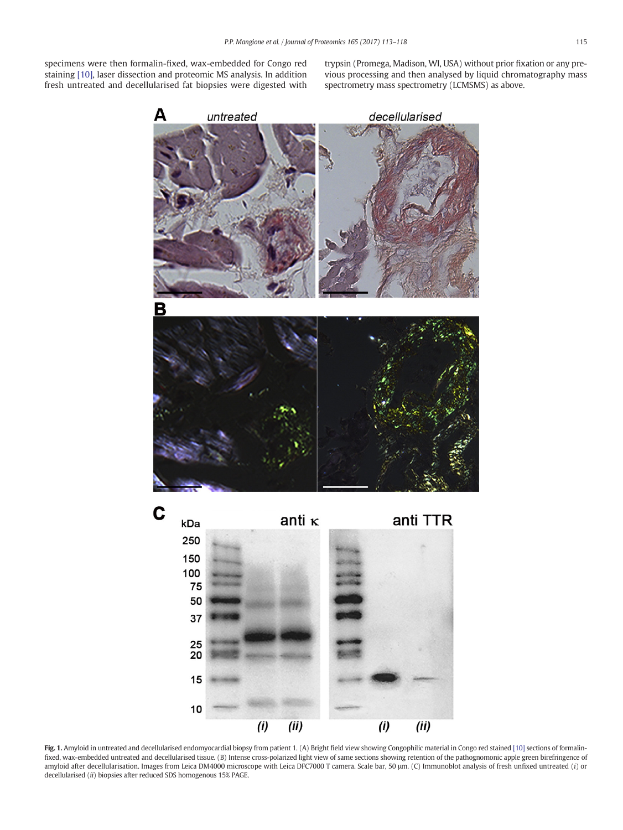<span id="page-2-0"></span>specimens were then formalin-fixed, wax-embedded for Congo red staining [\[10\],](#page-5-0) laser dissection and proteomic MS analysis. In addition fresh untreated and decellularised fat biopsies were digested with

trypsin (Promega, Madison, WI, USA) without prior fixation or any previous processing and then analysed by liquid chromatography mass spectrometry mass spectrometry (LCMSMS) as above.



Fig. 1. Amyloid in untreated and decellularised endomyocardial biopsy from patient 1. (A) Bright field view showing Congophilic material in Congo red stained [\[10\]](#page-5-0) sections of formalinfixed, wax-embedded untreated and decellularised tissue. (B) Intense cross-polarized light view of same sections showing retention of the pathognomonic apple green birefringence of amyloid after decellularisation. Images from Leica DM4000 microscope with Leica DFC7000 T camera. Scale bar, 50 μm. (C) Immunoblot analysis of fresh unfixed untreated (i) or decellularised (ii) biopsies after reduced SDS homogenous 15% PAGE.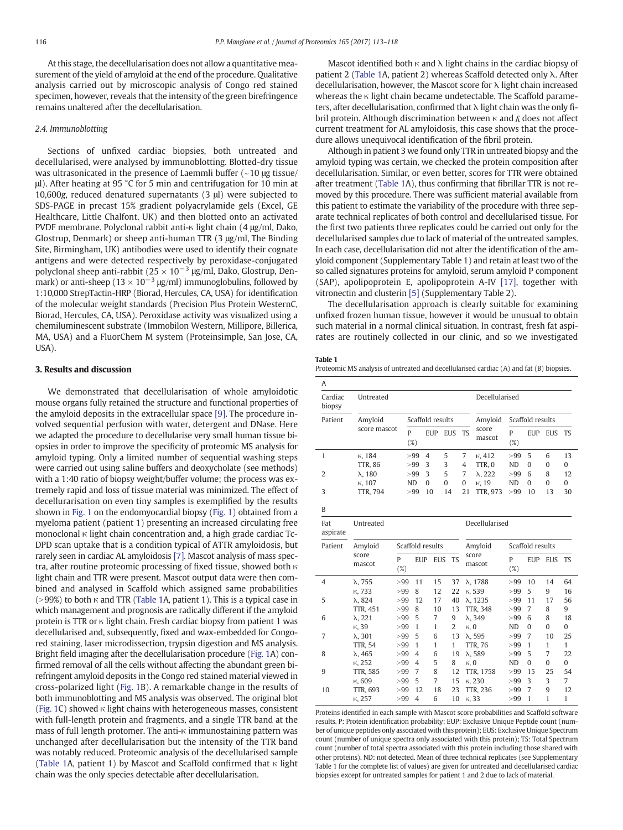<span id="page-3-0"></span>At this stage, the decellularisation does not allow a quantitative measurement of the yield of amyloid at the end of the procedure. Qualitative analysis carried out by microscopic analysis of Congo red stained specimen, however, reveals that the intensity of the green birefringence remains unaltered after the decellularisation.

#### 2.4. Immunoblotting

Sections of unfixed cardiac biopsies, both untreated and decellularised, were analysed by immunoblotting. Blotted-dry tissue was ultrasonicated in the presence of Laemmli buffer  $(-10 \mu g \text{ tissue})$ μl). After heating at 95 °C for 5 min and centrifugation for 10 min at 10,600g, reduced denatured supernatants (3 μl) were subjected to SDS-PAGE in precast 15% gradient polyacrylamide gels (Excel, GE Healthcare, Little Chalfont, UK) and then blotted onto an activated PVDF membrane. Polyclonal rabbit anti-κ light chain (4 μg/ml, Dako, Glostrup, Denmark) or sheep anti-human TTR (3 μg/ml, The Binding Site, Birmingham, UK) antibodies were used to identify their cognate antigens and were detected respectively by peroxidase-conjugated polyclonal sheep anti-rabbit  $(25 \times 10^{-3} \text{ µg/ml}, \text{Dako}, \text{Glostrup}, \text{Den-}$ mark) or anti-sheep ( $13 \times 10^{-3}$  µg/ml) immunoglobulins, followed by 1:10,000 StrepTactin-HRP (Biorad, Hercules, CA, USA) for identification of the molecular weight standards (Precision Plus Protein WesternC, Biorad, Hercules, CA, USA). Peroxidase activity was visualized using a chemiluminescent substrate (Immobilon Western, Millipore, Billerica, MA, USA) and a FluorChem M system (Proteinsimple, San Jose, CA, USA).

#### 3. Results and discussion

We demonstrated that decellularisation of whole amyloidotic mouse organs fully retained the structure and functional properties of the amyloid deposits in the extracellular space [\[9\].](#page-5-0) The procedure involved sequential perfusion with water, detergent and DNase. Here we adapted the procedure to decellularise very small human tissue biopsies in order to improve the specificity of proteomic MS analysis for amyloid typing. Only a limited number of sequential washing steps were carried out using saline buffers and deoxycholate (see methods) with a 1:40 ratio of biopsy weight/buffer volume; the process was extremely rapid and loss of tissue material was minimized. The effect of decellurarisation on even tiny samples is exemplified by the results shown in [Fig. 1](#page-2-0) on the endomyocardial biopsy ([Fig. 1](#page-2-0)) obtained from a myeloma patient (patient 1) presenting an increased circulating free monoclonal κ light chain concentration and, a high grade cardiac Tc-DPD scan uptake that is a condition typical of ATTR amyloidosis, but rarely seen in cardiac AL amyloidosis [\[7\].](#page-5-0) Mascot analysis of mass spectra, after routine proteomic processing of fixed tissue, showed both κ light chain and TTR were present. Mascot output data were then combined and analysed in Scaffold which assigned same probabilities ( $>99\%$ ) to both  $\kappa$  and TTR (Table 1A, patient 1). This is a typical case in which management and prognosis are radically different if the amyloid protein is TTR or κ light chain. Fresh cardiac biopsy from patient 1 was decellularised and, subsequently, fixed and wax-embedded for Congored staining, laser microdissection, trypsin digestion and MS analysis. Bright field imaging after the decellularisation procedure ([Fig. 1](#page-2-0)A) confirmed removal of all the cells without affecting the abundant green birefringent amyloid deposits in the Congo red stained material viewed in cross-polarized light ([Fig. 1](#page-2-0)B). A remarkable change in the results of both immunoblotting and MS analysis was observed. The original blot [\(Fig. 1C](#page-2-0)) showed κ light chains with heterogeneous masses, consistent with full-length protein and fragments, and a single TTR band at the mass of full length protomer. The anti-κ immunostaining pattern was unchanged after decellularisation but the intensity of the TTR band was notably reduced. Proteomic analysis of the decellularised sample (Table 1A, patient 1) by Mascot and Scaffold confirmed that κ light chain was the only species detectable after decellularisation.

Mascot identified both  $\kappa$  and  $\lambda$  light chains in the cardiac biopsy of patient 2 (Table 1A, patient 2) whereas Scaffold detected only λ. After decellularisation, however, the Mascot score for λ light chain increased whereas the κ light chain became undetectable. The Scaffold parameters, after decellularisation, confirmed that λ light chain was the only fibril protein. Although discrimination between κ and ʎ does not affect current treatment for AL amyloidosis, this case shows that the procedure allows unequivocal identification of the fibril protein.

Although in patient 3 we found only TTR in untreated biopsy and the amyloid typing was certain, we checked the protein composition after decellularisation. Similar, or even better, scores for TTR were obtained after treatment (Table 1A), thus confirming that fibrillar TTR is not removed by this procedure. There was sufficient material available from this patient to estimate the variability of the procedure with three separate technical replicates of both control and decellularised tissue. For the first two patients three replicates could be carried out only for the decellularised samples due to lack of material of the untreated samples. In each case, decellularisation did not alter the identification of the amyloid component (Supplementary Table 1) and retain at least two of the so called signatures proteins for amyloid, serum amyloid P component (SAP), apolipoprotein E, apolipoprotein A-IV [\[17\],](#page-5-0) together with vitronectin and clusterin [\[5\]](#page-5-0) (Supplementary Table 2).

The decellularisation approach is clearly suitable for examining unfixed frozen human tissue, however it would be unusual to obtain such material in a normal clinical situation. In contrast, fresh fat aspirates are routinely collected in our clinic, and so we investigated

#### Table 1

B

Proteomic MS analysis of untreated and decellularised cardiac (A) and fat (B) biopsies.

| A                 |                 |                  |                |          |          |                 |                  |          |            |          |  |
|-------------------|-----------------|------------------|----------------|----------|----------|-----------------|------------------|----------|------------|----------|--|
| Cardiac<br>biopsy | Untreated       | Decellularised   |                |          |          |                 |                  |          |            |          |  |
| Patient           | Amyloid         | Scaffold results |                |          |          | Amyloid         | Scaffold results |          |            |          |  |
|                   | score mascot    | P<br>(%)         | EUP            | EUS TS   |          | score<br>mascot | P<br>(%)         | EUP      | <b>EUS</b> | TS       |  |
|                   | K. 184          | >99              | $\overline{4}$ | 5        | 7        | K.412           | >99              | 5        | 6          | 13       |  |
|                   | <b>TTR. 86</b>  | >99              | 3              | 3        | 4        | TTR. 0          | ND.              | $\Omega$ | O          | $\Omega$ |  |
| 2                 | $\lambda$ . 180 | >99              | 3              | 5        | 7        | $\lambda$ . 222 | >99              | 6        | 8          | 12       |  |
|                   | $\kappa$ , 107  | <b>ND</b>        | $\Omega$       | $\Omega$ | $\Omega$ | K. 19           | ND.              | $\Omega$ | 0          | $\Omega$ |  |
| 3                 | TTR, 794        | >99              | 10             | 14       | 21       | <b>TTR. 973</b> | >99              | 10       | 13         | 30       |  |

| Fat<br>aspirate | Untreated                  |          |                  |        |                | Decellularised             |                  |          |          |           |
|-----------------|----------------------------|----------|------------------|--------|----------------|----------------------------|------------------|----------|----------|-----------|
| Patient         | Amyloid<br>score<br>mascot |          | Scaffold results |        |                | Amyloid<br>score<br>mascot | Scaffold results |          |          |           |
|                 |                            | P<br>(%) | EUP              | EUS TS |                |                            | P<br>$(\%)$      | EUP      | EUS      | <b>TS</b> |
| $\overline{4}$  | λ, 755                     | >99      | 11               | 15     | 37             | λ, 1788                    | >99              | 10       | 14       | 64        |
|                 | к, 733                     | >99      | 8                | 12     | 22             | к, 539                     | >99              | 5        | 9        | 16        |
| 5               | $\lambda$ . 824            | >99      | 12               | 17     | 40             | $\lambda$ . 1235           | >99              | 11       | 17       | 56        |
|                 | <b>TTR, 451</b>            | >99      | 8                | 10     | 13             | <b>TTR. 348</b>            | >99              | 7        | 8        | 9         |
| 6               | $\lambda$ , 221            | >99      | 5                | 7      | 9              | $\lambda$ , 349            | >99              | 6        | 8        | 18        |
|                 | к, 39                      | >99      | $\mathbf{1}$     | 1      | $\overline{2}$ | к, 0                       | ND               | $\Omega$ | $\Omega$ | $\Omega$  |
| 7               | $\lambda$ . 301            | >99      | 5                | 6      | 13             | $\lambda$ , 595            | >99              | 7        | 10       | 25        |
|                 | TTR, 54                    | >99      | $\mathbf{1}$     | 1      | 1              | TTR, 76                    | >99              | 1        | 1        | 1         |
| 8               | $\lambda$ , 465            | >99      | 4                | 6      | 19             | $\lambda$ , 589            | >99              | 5        | 7        | 22        |
|                 | к, 252                     | >99      | 4                | 5      | 8              | к, 0                       | <b>ND</b>        | $\Omega$ | $\Omega$ | 0         |
| 9               | TTR, 585                   | >99      | 7                | 8      | 12             | TTR, 1758                  | >99              | 15       | 25       | 54        |
|                 | к, 609                     | >99      | 5                | 7      | 15             | $\kappa$ , 230             | >99              | 3        | 3        | 7         |
| 10              | TTR, 693                   | >99      | 12               | 18     | 23             | TTR, 236                   | >99              | 7        | 9        | 12        |
|                 | к, 257                     | >99      | 4                | 6      | 10             | к, 33                      | >99              | 1        | 1        | 1         |

Proteins identified in each sample with Mascot score probabilities and Scaffold software results. P: Protein identification probability; EUP: Exclusive Unique Peptide count (number of unique peptides only associated with this protein); EUS: Exclusive Unique Spectrum count (number of unique spectra only associated with this protein); TS: Total Spectrum count (number of total spectra associated with this protein including those shared with other proteins). ND: not detected. Mean of three technical replicates (see Supplementary Table 1 for the complete list of values) are given for untreated and decellularised cardiac biopsies except for untreated samples for patient 1 and 2 due to lack of material.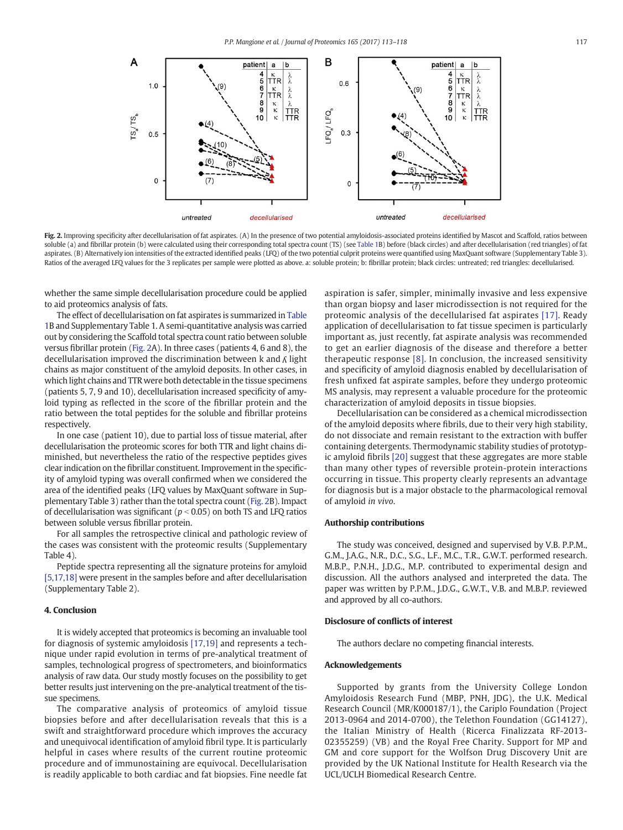

Fig. 2. Improving specificity after decellularisation of fat aspirates. (A) In the presence of two potential amyloidosis-associated proteins identified by Mascot and Scaffold, ratios between soluble (a) and fibrillar protein (b) were calculated using their corresponding total spectra count (TS) (see [Table 1B](#page-3-0)) before (black circles) and after decellularisation (red triangles) of fat aspirates. (B) Alternatively ion intensities of the extracted identified peaks (LFQ) of the two potential culprit proteins were quantified using MaxQuant software (Supplementary Table 3). Ratios of the averaged LFQ values for the 3 replicates per sample were plotted as above. a: soluble protein; b: fibrillar protein; black circles: untreated; red triangles: decellularised.

whether the same simple decellularisation procedure could be applied to aid proteomics analysis of fats.

The effect of decellularisation on fat aspirates is summarized in [Table](#page-3-0) [1B](#page-3-0) and Supplementary Table 1. A semi-quantitative analysis was carried out by considering the Scaffold total spectra count ratio between soluble versus fibrillar protein (Fig. 2A). In three cases (patients 4, 6 and 8), the decellularisation improved the discrimination between  $k$  and  $\Lambda$  light chains as major constituent of the amyloid deposits. In other cases, in which light chains and TTR were both detectable in the tissue specimens (patients 5, 7, 9 and 10), decellularisation increased specificity of amyloid typing as reflected in the score of the fibrillar protein and the ratio between the total peptides for the soluble and fibrillar proteins respectively.

In one case (patient 10), due to partial loss of tissue material, after decellularisation the proteomic scores for both TTR and light chains diminished, but nevertheless the ratio of the respective peptides gives clear indication on the fibrillar constituent. Improvement in the specificity of amyloid typing was overall confirmed when we considered the area of the identified peaks (LFQ values by MaxQuant software in Supplementary Table 3) rather than the total spectra count (Fig. 2B). Impact of decellularisation was significant ( $p < 0.05$ ) on both TS and LFQ ratios between soluble versus fibrillar protein.

For all samples the retrospective clinical and pathologic review of the cases was consistent with the proteomic results (Supplementary Table 4).

Peptide spectra representing all the signature proteins for amyloid [\[5,17,18\]](#page-5-0) were present in the samples before and after decellularisation (Supplementary Table 2).

### 4. Conclusion

It is widely accepted that proteomics is becoming an invaluable tool for diagnosis of systemic amyloidosis [\[17,19\]](#page-5-0) and represents a technique under rapid evolution in terms of pre-analytical treatment of samples, technological progress of spectrometers, and bioinformatics analysis of raw data. Our study mostly focuses on the possibility to get better results just intervening on the pre-analytical treatment of the tissue specimens.

The comparative analysis of proteomics of amyloid tissue biopsies before and after decellularisation reveals that this is a swift and straightforward procedure which improves the accuracy and unequivocal identification of amyloid fibril type. It is particularly helpful in cases where results of the current routine proteomic procedure and of immunostaining are equivocal. Decellularisation is readily applicable to both cardiac and fat biopsies. Fine needle fat aspiration is safer, simpler, minimally invasive and less expensive than organ biopsy and laser microdissection is not required for the proteomic analysis of the decellularised fat aspirates [\[17\].](#page-5-0) Ready application of decellularisation to fat tissue specimen is particularly important as, just recently, fat aspirate analysis was recommended to get an earlier diagnosis of the disease and therefore a better therapeutic response [\[8\].](#page-5-0) In conclusion, the increased sensitivity and specificity of amyloid diagnosis enabled by decellularisation of fresh unfixed fat aspirate samples, before they undergo proteomic MS analysis, may represent a valuable procedure for the proteomic characterization of amyloid deposits in tissue biopsies.

Decellularisation can be considered as a chemical microdissection of the amyloid deposits where fibrils, due to their very high stability, do not dissociate and remain resistant to the extraction with buffer containing detergents. Thermodynamic stability studies of prototypic amyloid fibrils [\[20\]](#page-5-0) suggest that these aggregates are more stable than many other types of reversible protein-protein interactions occurring in tissue. This property clearly represents an advantage for diagnosis but is a major obstacle to the pharmacological removal of amyloid in vivo.

# Authorship contributions

The study was conceived, designed and supervised by V.B. P.P.M., G.M., J.A.G., N.R., D.C., S.G., L.F., M.C., T.R., G.W.T. performed research. M.B.P., P.N.H., J.D.G., M.P. contributed to experimental design and discussion. All the authors analysed and interpreted the data. The paper was written by P.P.M., J.D.G., G.W.T., V.B. and M.B.P. reviewed and approved by all co-authors.

### Disclosure of conflicts of interest

The authors declare no competing financial interests.

#### Acknowledgements

Supported by grants from the University College London Amyloidosis Research Fund (MBP, PNH, JDG), the U.K. Medical Research Council (MR/K000187/1), the Cariplo Foundation (Project 2013-0964 and 2014-0700), the Telethon Foundation (GG14127), the Italian Ministry of Health (Ricerca Finalizzata RF-2013- 02355259) (VB) and the Royal Free Charity. Support for MP and GM and core support for the Wolfson Drug Discovery Unit are provided by the UK National Institute for Health Research via the UCL/UCLH Biomedical Research Centre.